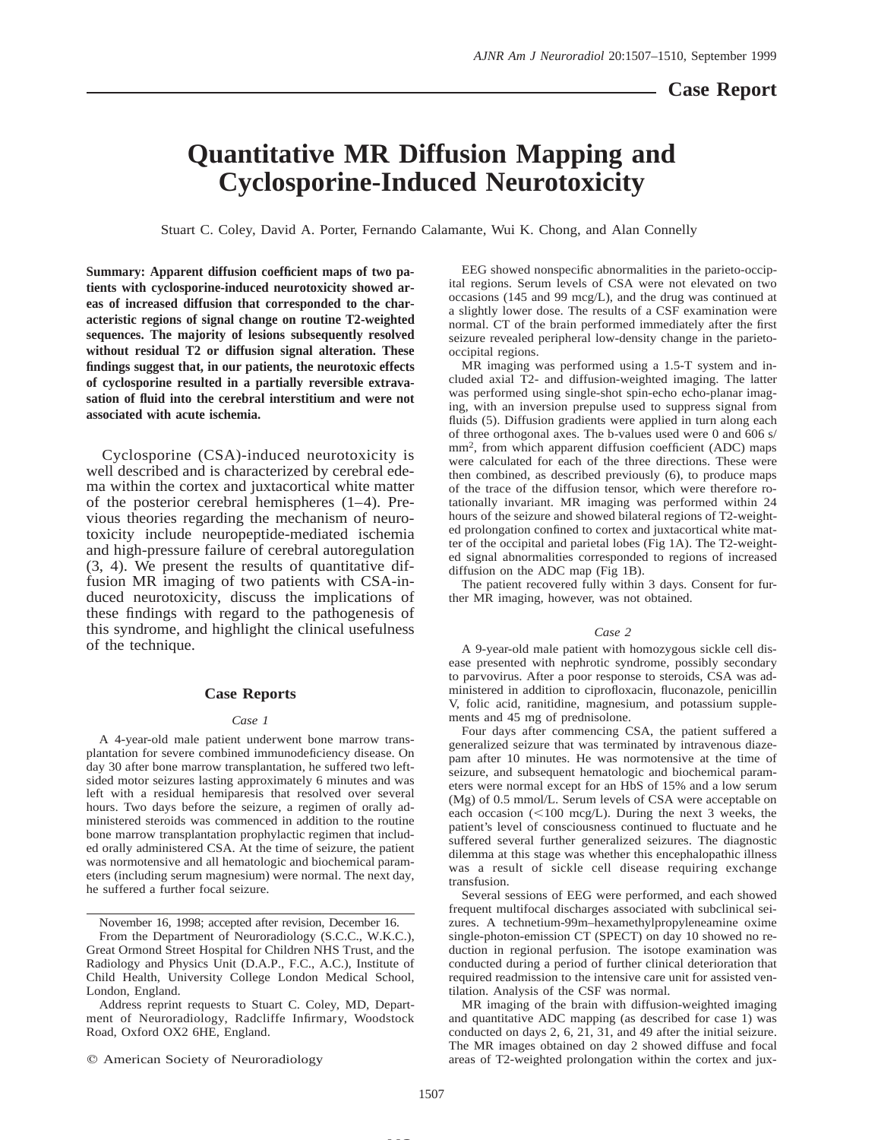# **Quantitative MR Diffusion Mapping and Cyclosporine-Induced Neurotoxicity**

Stuart C. Coley, David A. Porter, Fernando Calamante, Wui K. Chong, and Alan Connelly

**Summary: Apparent diffusion coefficient maps of two patients with cyclosporine-induced neurotoxicity showed areas of increased diffusion that corresponded to the characteristic regions of signal change on routine T2-weighted sequences. The majority of lesions subsequently resolved without residual T2 or diffusion signal alteration. These findings suggest that, in our patients, the neurotoxic effects of cyclosporine resulted in a partially reversible extravasation of fluid into the cerebral interstitium and were not associated with acute ischemia.**

Cyclosporine (CSA)-induced neurotoxicity is well described and is characterized by cerebral edema within the cortex and juxtacortical white matter of the posterior cerebral hemispheres (1–4). Previous theories regarding the mechanism of neurotoxicity include neuropeptide-mediated ischemia and high-pressure failure of cerebral autoregulation (3, 4). We present the results of quantitative diffusion MR imaging of two patients with CSA-induced neurotoxicity, discuss the implications of these findings with regard to the pathogenesis of this syndrome, and highlight the clinical usefulness of the technique.

## **Case Reports**

### *Case 1*

A 4-year-old male patient underwent bone marrow transplantation for severe combined immunodeficiency disease. On day 30 after bone marrow transplantation, he suffered two leftsided motor seizures lasting approximately 6 minutes and was left with a residual hemiparesis that resolved over several hours. Two days before the seizure, a regimen of orally administered steroids was commenced in addition to the routine bone marrow transplantation prophylactic regimen that included orally administered CSA. At the time of seizure, the patient was normotensive and all hematologic and biochemical parameters (including serum magnesium) were normal. The next day, he suffered a further focal seizure.

November 16, 1998; accepted after revision, December 16.

Address reprint requests to Stuart C. Coley, MD, Department of Neuroradiology, Radcliffe Infirmary, Woodstock Road, Oxford OX2 6HE, England.

 $©$  American Society of Neuroradiology

EEG showed nonspecific abnormalities in the parieto-occipital regions. Serum levels of CSA were not elevated on two occasions (145 and 99 mcg/L), and the drug was continued at a slightly lower dose. The results of a CSF examination were normal. CT of the brain performed immediately after the first seizure revealed peripheral low-density change in the parietooccipital regions. MR imaging was performed using a 1.5-T system and in-

cluded axial T2- and diffusion-weighted imaging. The latter was performed using single-shot spin-echo echo-planar imaging, with an inversion prepulse used to suppress signal from fluids (5). Diffusion gradients were applied in turn along each of three orthogonal axes. The b-values used were 0 and 606 s/ mm2, from which apparent diffusion coefficient (ADC) maps were calculated for each of the three directions. These were then combined, as described previously (6), to produce maps of the trace of the diffusion tensor, which were therefore rotationally invariant. MR imaging was performed within 24 hours of the seizure and showed bilateral regions of T2-weighted prolongation confined to cortex and juxtacortical white matter of the occipital and parietal lobes (Fig 1A). The T2-weighted signal abnormalities corresponded to regions of increased diffusion on the ADC map (Fig 1B).

The patient recovered fully within 3 days. Consent for further MR imaging, however, was not obtained.

## *Case 2*

A 9-year-old male patient with homozygous sickle cell disease presented with nephrotic syndrome, possibly secondary to parvovirus. After a poor response to steroids, CSA was administered in addition to ciprofloxacin, fluconazole, penicillin V, folic acid, ranitidine, magnesium, and potassium supplements and 45 mg of prednisolone.

Four days after commencing CSA, the patient suffered a generalized seizure that was terminated by intravenous diazepam after 10 minutes. He was normotensive at the time of seizure, and subsequent hematologic and biochemical parameters were normal except for an HbS of 15% and a low serum (Mg) of 0.5 mmol/L. Serum levels of CSA were acceptable on each occasion  $(<100 \text{ mcg/L})$ . During the next 3 weeks, the patient's level of consciousness continued to fluctuate and he suffered several further generalized seizures. The diagnostic dilemma at this stage was whether this encephalopathic illness was a result of sickle cell disease requiring exchange transfusion.

Several sessions of EEG were performed, and each showed frequent multifocal discharges associated with subclinical seizures. A technetium-99m–hexamethylpropyleneamine oxime single-photon-emission CT (SPECT) on day 10 showed no reduction in regional perfusion. The isotope examination was conducted during a period of further clinical deterioration that required readmission to the intensive care unit for assisted ventilation. Analysis of the CSF was normal.

MR imaging of the brain with diffusion-weighted imaging and quantitative ADC mapping (as described for case 1) was conducted on days 2, 6, 21, 31, and 49 after the initial seizure. The MR images obtained on day 2 showed diffuse and focal areas of T2-weighted prolongation within the cortex and jux-

**MS**

From the Department of Neuroradiology (S.C.C., W.K.C.), Great Ormond Street Hospital for Children NHS Trust, and the Radiology and Physics Unit (D.A.P., F.C., A.C.), Institute of Child Health, University College London Medical School, London, England.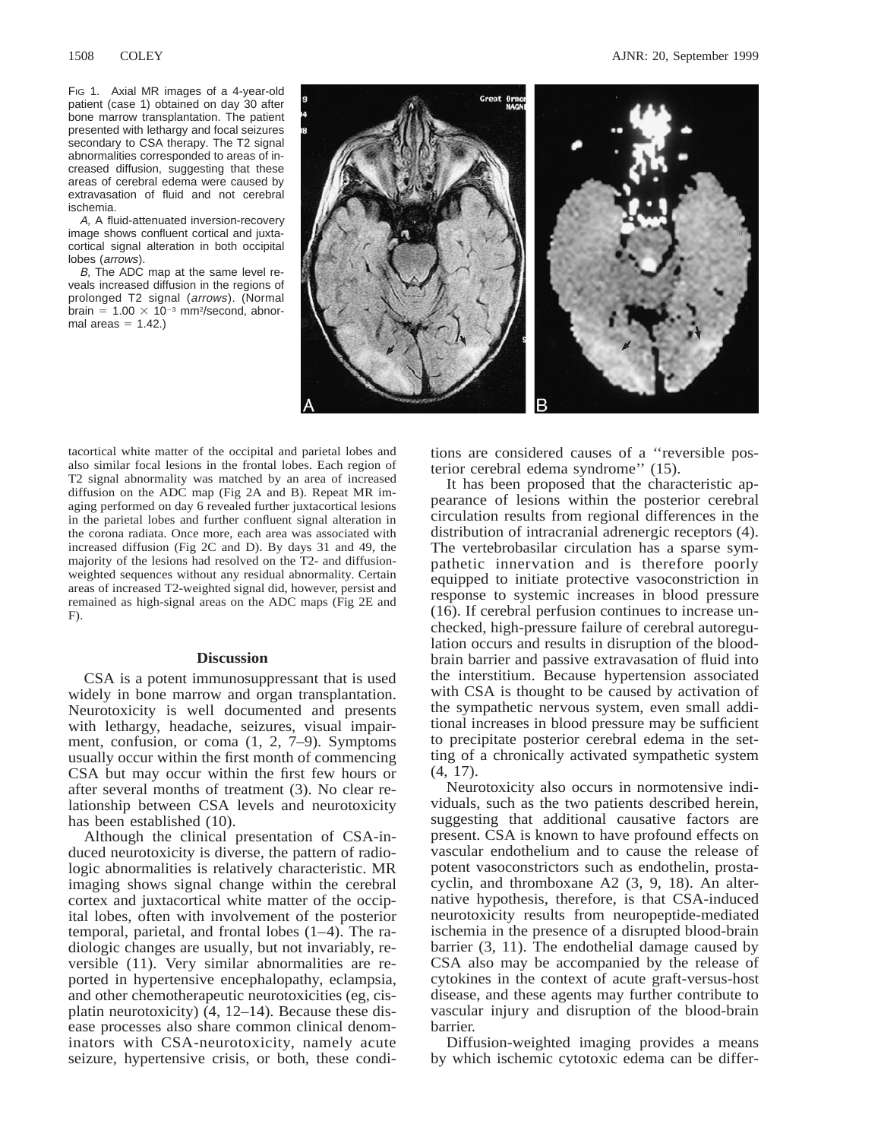FIG 1. Axial MR images of a 4-year-old patient (case 1) obtained on day 30 after bone marrow transplantation. The patient presented with lethargy and focal seizures secondary to CSA therapy. The T2 signal abnormalities corresponded to areas of increased diffusion, suggesting that these areas of cerebral edema were caused by extravasation of fluid and not cerebral ischemia.

A, A fluid-attenuated inversion-recovery image shows confluent cortical and juxtacortical signal alteration in both occipital lobes (arrows).

B, The ADC map at the same level reveals increased diffusion in the regions of prolonged T2 signal (arrows). (Normal brain =  $1.00 \times 10^{-3}$  mm<sup>2</sup>/second, abnormal areas  $= 1.42$ .)



tacortical white matter of the occipital and parietal lobes and also similar focal lesions in the frontal lobes. Each region of T2 signal abnormality was matched by an area of increased diffusion on the ADC map (Fig 2A and B). Repeat MR imaging performed on day 6 revealed further juxtacortical lesions in the parietal lobes and further confluent signal alteration in the corona radiata. Once more, each area was associated with increased diffusion (Fig 2C and D). By days 31 and 49, the majority of the lesions had resolved on the T2- and diffusionweighted sequences without any residual abnormality. Certain areas of increased T2-weighted signal did, however, persist and remained as high-signal areas on the ADC maps (Fig 2E and F).

# **Discussion**

CSA is a potent immunosuppressant that is used widely in bone marrow and organ transplantation. Neurotoxicity is well documented and presents with lethargy, headache, seizures, visual impairment, confusion, or coma (1, 2, 7–9). Symptoms usually occur within the first month of commencing CSA but may occur within the first few hours or after several months of treatment (3). No clear relationship between CSA levels and neurotoxicity has been established (10).

Although the clinical presentation of CSA-induced neurotoxicity is diverse, the pattern of radiologic abnormalities is relatively characteristic. MR imaging shows signal change within the cerebral cortex and juxtacortical white matter of the occipital lobes, often with involvement of the posterior temporal, parietal, and frontal lobes (1–4). The radiologic changes are usually, but not invariably, reversible (11). Very similar abnormalities are reported in hypertensive encephalopathy, eclampsia, and other chemotherapeutic neurotoxicities (eg, cisplatin neurotoxicity) (4, 12–14). Because these disease processes also share common clinical denominators with CSA-neurotoxicity, namely acute seizure, hypertensive crisis, or both, these conditions are considered causes of a ''reversible posterior cerebral edema syndrome'' (15).

It has been proposed that the characteristic appearance of lesions within the posterior cerebral circulation results from regional differences in the distribution of intracranial adrenergic receptors (4). The vertebrobasilar circulation has a sparse sympathetic innervation and is therefore poorly equipped to initiate protective vasoconstriction in response to systemic increases in blood pressure (16). If cerebral perfusion continues to increase unchecked, high-pressure failure of cerebral autoregulation occurs and results in disruption of the bloodbrain barrier and passive extravasation of fluid into the interstitium. Because hypertension associated with CSA is thought to be caused by activation of the sympathetic nervous system, even small additional increases in blood pressure may be sufficient to precipitate posterior cerebral edema in the setting of a chronically activated sympathetic system (4, 17).

Neurotoxicity also occurs in normotensive individuals, such as the two patients described herein, suggesting that additional causative factors are present. CSA is known to have profound effects on vascular endothelium and to cause the release of potent vasoconstrictors such as endothelin, prostacyclin, and thromboxane A2 (3, 9, 18). An alternative hypothesis, therefore, is that CSA-induced neurotoxicity results from neuropeptide-mediated ischemia in the presence of a disrupted blood-brain barrier (3, 11). The endothelial damage caused by CSA also may be accompanied by the release of cytokines in the context of acute graft-versus-host disease, and these agents may further contribute to vascular injury and disruption of the blood-brain barrier.

Diffusion-weighted imaging provides a means by which ischemic cytotoxic edema can be differ-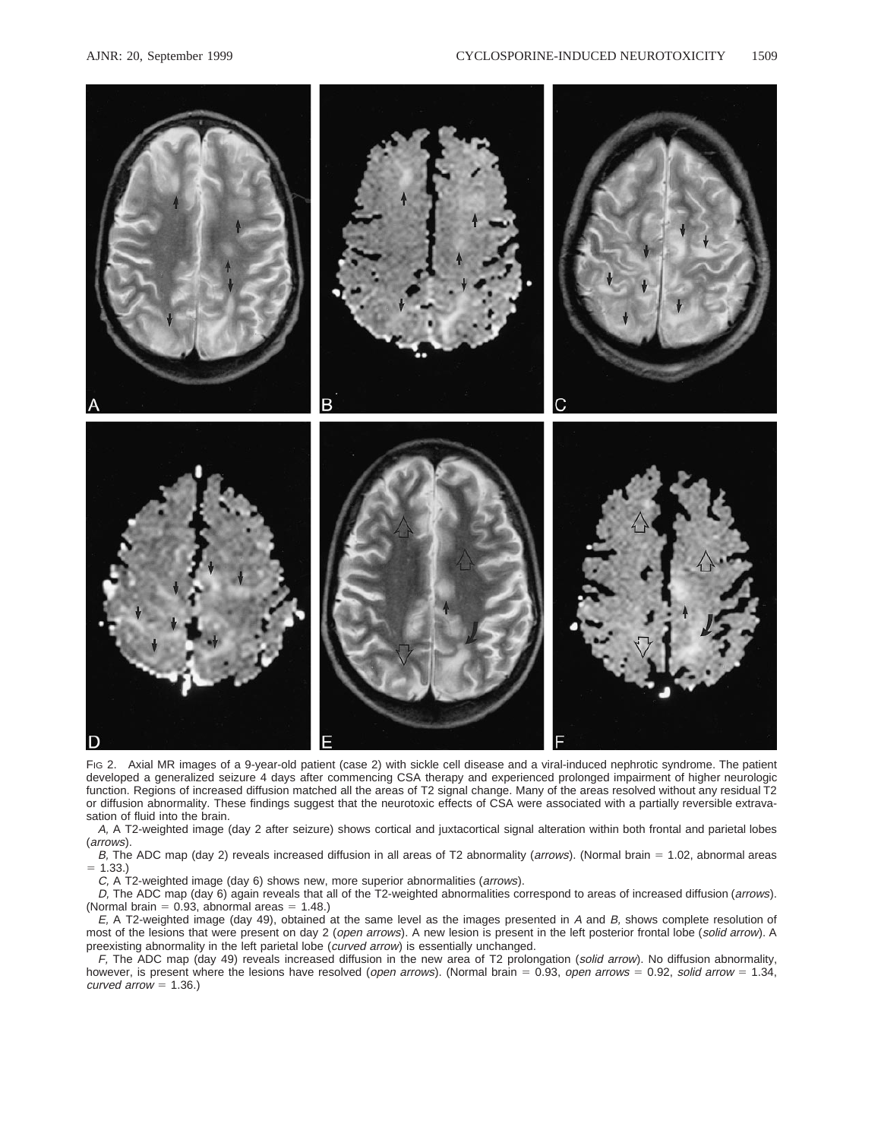

FIG 2. Axial MR images of a 9-year-old patient (case 2) with sickle cell disease and a viral-induced nephrotic syndrome. The patient developed a generalized seizure 4 days after commencing CSA therapy and experienced prolonged impairment of higher neurologic function. Regions of increased diffusion matched all the areas of T2 signal change. Many of the areas resolved without any residual T2 or diffusion abnormality. These findings suggest that the neurotoxic effects of CSA were associated with a partially reversible extravasation of fluid into the brain.

A, A T2-weighted image (day 2 after seizure) shows cortical and juxtacortical signal alteration within both frontal and parietal lobes (arrows).

B, The ADC map (day 2) reveals increased diffusion in all areas of T2 abnormality (arrows). (Normal brain = 1.02, abnormal areas  $= 1.33.$ 

C, A T2-weighted image (day 6) shows new, more superior abnormalities (arrows).

D, The ADC map (day 6) again reveals that all of the T2-weighted abnormalities correspond to areas of increased diffusion (arrows). (Normal brain =  $0.93$ , abnormal areas =  $1.48$ .)

 $E$ , A T2-weighted image (day 49), obtained at the same level as the images presented in A and  $B$ , shows complete resolution of most of the lesions that were present on day 2 (open arrows). A new lesion is present in the left posterior frontal lobe (solid arrow). A preexisting abnormality in the left parietal lobe (curved arrow) is essentially unchanged.

F, The ADC map (day 49) reveals increased diffusion in the new area of T2 prolongation (solid arrow). No diffusion abnormality, however, is present where the lesions have resolved (open arrows). (Normal brain = 0.93, open arrows = 0.92, solid arrow = 1.34, curved arrow  $= 1.36.$ )